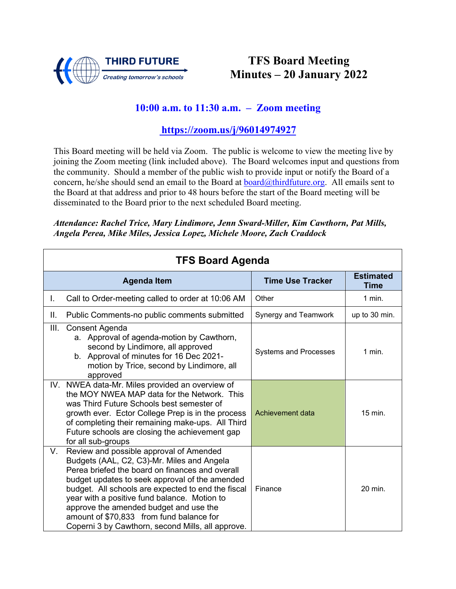

## **TFS Board Meeting Minutes – 20 January 2022**

## **10:00 a.m. to 11:30 a.m. – Zoom meeting**

## **<https://zoom.us/j/96014974927>**

This Board meeting will be held via Zoom. The public is welcome to view the meeting live by joining the Zoom meeting (link included above). The Board welcomes input and questions from the community. Should a member of the public wish to provide input or notify the Board of a concern, he/she should send an email to the Board at [board@thirdfuture.org.](mailto:board@thirdfuture.org) All emails sent to the Board at that address and prior to 48 hours before the start of the Board meeting will be disseminated to the Board prior to the next scheduled Board meeting.

*Attendance: Rachel Trice, Mary Lindimore, Jenn Sward-Miller, Kim Cawthorn, Pat Mills, Angela Perea, Mike Miles, Jessica Lopez, Michele Moore, Zach Craddock*

| <b>TFS Board Agenda</b> |                                                                                                                                                                                                                                                                                                                                                                                                                                             |                              |                          |
|-------------------------|---------------------------------------------------------------------------------------------------------------------------------------------------------------------------------------------------------------------------------------------------------------------------------------------------------------------------------------------------------------------------------------------------------------------------------------------|------------------------------|--------------------------|
|                         | <b>Agenda Item</b>                                                                                                                                                                                                                                                                                                                                                                                                                          | <b>Time Use Tracker</b>      | <b>Estimated</b><br>Time |
| L.                      | Call to Order-meeting called to order at 10:06 AM                                                                                                                                                                                                                                                                                                                                                                                           | Other                        | $1$ min.                 |
| Ш.                      | Public Comments-no public comments submitted                                                                                                                                                                                                                                                                                                                                                                                                | Synergy and Teamwork         | up to 30 min.            |
| III.                    | Consent Agenda<br>a. Approval of agenda-motion by Cawthorn,<br>second by Lindimore, all approved<br>b. Approval of minutes for 16 Dec 2021-<br>motion by Trice, second by Lindimore, all<br>approved                                                                                                                                                                                                                                        | <b>Systems and Processes</b> | $1$ min.                 |
|                         | IV. NWEA data-Mr. Miles provided an overview of<br>the MOY NWEA MAP data for the Network. This<br>was Third Future Schools best semester of<br>growth ever. Ector College Prep is in the process<br>of completing their remaining make-ups. All Third<br>Future schools are closing the achievement gap<br>for all sub-groups                                                                                                               | Achievement data             | 15 min.                  |
| V.                      | Review and possible approval of Amended<br>Budgets (AAL, C2, C3)-Mr. Miles and Angela<br>Perea briefed the board on finances and overall<br>budget updates to seek approval of the amended<br>budget. All schools are expected to end the fiscal<br>year with a positive fund balance. Motion to<br>approve the amended budget and use the<br>amount of \$70,833 from fund balance for<br>Coperni 3 by Cawthorn, second Mills, all approve. | Finance                      | 20 min.                  |